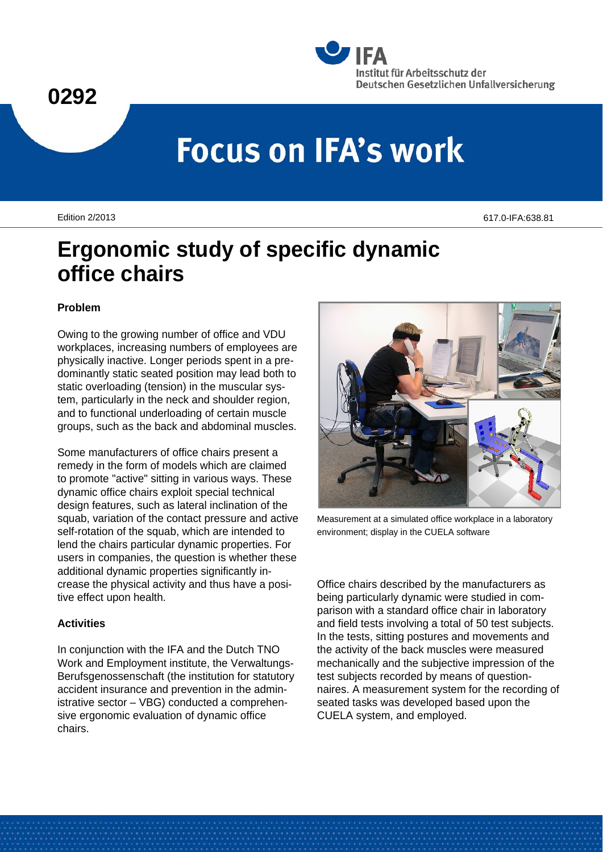



# **Focus on IFA's work**

Edition 2/2013 617.0-IFA:638.81

# **Ergonomic study of specific dynamic office chairs**

#### **Problem**

Owing to the growing number of office and VDU workplaces, increasing numbers of employees are physically inactive. Longer periods spent in a predominantly static seated position may lead both to static overloading (tension) in the muscular system, particularly in the neck and shoulder region, and to functional underloading of certain muscle groups, such as the back and abdominal muscles.

Some manufacturers of office chairs present a remedy in the form of models which are claimed to promote "active" sitting in various ways. These dynamic office chairs exploit special technical design features, such as lateral inclination of the squab, variation of the contact pressure and active self-rotation of the squab, which are intended to lend the chairs particular dynamic properties. For users in companies, the question is whether these additional dynamic properties significantly increase the physical activity and thus have a positive effect upon health.

#### **Activities**

In conjunction with the IFA and the Dutch TNO Work and Employment institute, the Verwaltungs-Berufsgenossenschaft (the institution for statutory accident insurance and prevention in the administrative sector – VBG) conducted a comprehensive ergonomic evaluation of dynamic office chairs.



Measurement at a simulated office workplace in a laboratory environment; display in the CUELA software

Office chairs described by the manufacturers as being particularly dynamic were studied in comparison with a standard office chair in laboratory and field tests involving a total of 50 test subjects. In the tests, sitting postures and movements and the activity of the back muscles were measured mechanically and the subjective impression of the test subjects recorded by means of questionnaires. A measurement system for the recording of seated tasks was developed based upon the CUELA system, and employed.